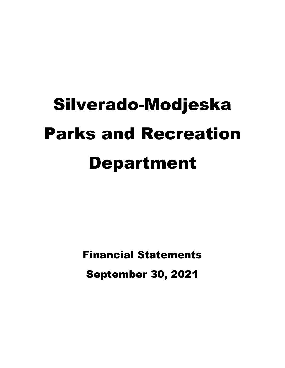# Silverado-Modjeska Parks and Recreation Department

Financial Statements September 30, 2021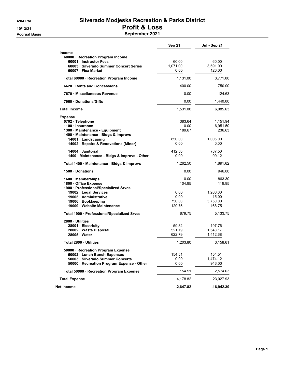#### 4:04 PM Silverado Modjeska Recreation & Parks District 10/13/21 Profit & Loss Accrual Basis **September 2021**

|                                                                                                                                                                                            | <b>Sep 21</b>                                      | Jul - Sep 21                                                |
|--------------------------------------------------------------------------------------------------------------------------------------------------------------------------------------------|----------------------------------------------------|-------------------------------------------------------------|
| <b>Income</b><br>60000 · Recreation Program Income<br>60001 Instructor Fees<br>60003 Silverado Summer Concert Series                                                                       | 60.00<br>1,071.00                                  | 60.00<br>3,591.00                                           |
| 60007 · Flea Market                                                                                                                                                                        | 0.00                                               | 120.00                                                      |
| Total 60000 · Recreation Program Income                                                                                                                                                    | 1,131.00                                           | 3,771.00                                                    |
| 6620 Rents and Concessions                                                                                                                                                                 | 400.00                                             | 750.00                                                      |
| 7670 Miscellaneous Revenue                                                                                                                                                                 | 0.00                                               | 124.63                                                      |
| 7960 Donations/Gifts                                                                                                                                                                       | 0.00                                               | 1,440.00                                                    |
| <b>Total Income</b>                                                                                                                                                                        | 1,531.00                                           | 6,085.63                                                    |
| <b>Expense</b><br>0702 · Telephone<br>1100 · Insurance<br>1300 Maintenance - Equipment<br>1400 · Maintenance - Bldgs & Improvs<br>14001 · Landscaping                                      | 383.64<br>0.00<br>189.67<br>850.00                 | 1,151.94<br>6,951.50<br>236.63<br>1,005.00                  |
| 14002 · Repairs & Renovations (Minor)                                                                                                                                                      | 0.00                                               | 0.00                                                        |
| 14004 Janitorial<br>1400 · Maintenance - Bldgs & Improvs - Other                                                                                                                           | 412.50<br>0.00                                     | 787.50<br>99.12                                             |
| Total 1400 · Maintenance - Bldgs & Improvs                                                                                                                                                 | 1,262.50                                           | 1,891.62                                                    |
| 1500 Donations                                                                                                                                                                             | 0.00                                               | 946.00                                                      |
| 1600 Memberships<br>1800 · Office Expense<br>1900 · Professional/Specialized Srvcs<br>19002 · Legal Services<br>19005 · Administrative<br>19006 · Bookkeeping<br>19009 Website Maintenance | 0.00<br>104.95<br>0.00<br>0.00<br>750.00<br>129.75 | 863.30<br>119.95<br>1,200.00<br>15.00<br>3,750.00<br>168.75 |
| Total 1900 · Professional/Specialized Srvcs                                                                                                                                                | 879.75                                             | 5,133.75                                                    |
| 2800 Utilities<br>28001 · Electricity<br>28002 Waste Disposal<br>28005 Water                                                                                                               | 59.82<br>521.19<br>622.79                          | 197.76<br>1,548.17<br>1,412.68                              |
| Total 2800 Utilities                                                                                                                                                                       | 1,203.80                                           | 3,158.61                                                    |
| 50000 · Recreation Program Expense<br>50002 · Lunch Bunch Expenses<br>50003 · Silverado Summer Concerts<br>50000 · Recreation Program Expense - Other                                      | 154.51<br>0.00<br>0.00                             | 154.51<br>1,474.12<br>946.00                                |
| Total 50000 · Recreation Program Expense                                                                                                                                                   | 154.51                                             | 2,574.63                                                    |
| <b>Total Expense</b>                                                                                                                                                                       | 4,178.82                                           | 23,027.93                                                   |
| Net Income                                                                                                                                                                                 | $-2,647.82$                                        | -16,942.30                                                  |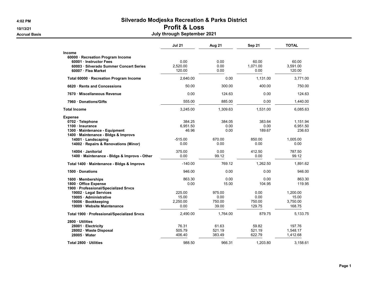# 4:02 PM Silverado Modjeska Recreation & Parks District

# 10/13/21 Profit & Loss

#### Accrual Basis July through September 2021

|                                              | <b>Jul 21</b> | Aug 21   | Sep 21   | <b>TOTAL</b> |
|----------------------------------------------|---------------|----------|----------|--------------|
| Income                                       |               |          |          |              |
| 60000 · Recreation Program Income            |               |          |          |              |
| 60001 Instructor Fees                        | 0.00          | 0.00     | 60.00    | 60.00        |
| 60003 · Silverado Summer Concert Series      | 2,520.00      | 0.00     | 1,071.00 | 3,591.00     |
| 60007 · Flea Market                          | 120.00        | 0.00     | 0.00     | 120.00       |
| Total 60000 · Recreation Program Income      | 2,640.00      | 0.00     | 1,131.00 | 3,771.00     |
| 6620 Rents and Concessions                   | 50.00         | 300.00   | 400.00   | 750.00       |
| 7670 Miscellaneous Revenue                   | 0.00          | 124.63   | 0.00     | 124.63       |
| 7960 Donations/Gifts                         | 555.00        | 885.00   | 0.00     | 1,440.00     |
| <b>Total Income</b>                          | 3,245.00      | 1,309.63 | 1,531.00 | 6,085.63     |
| <b>Expense</b>                               |               |          |          |              |
| 0702 · Telephone                             | 384.25        | 384.05   | 383.64   | 1,151.94     |
| 1100 Insurance                               | 6,951.50      | 0.00     | 0.00     | 6,951.50     |
| 1300 Maintenance - Equipment                 | 46.96         | 0.00     | 189.67   | 236.63       |
| 1400 Maintenance - Bldgs & Improvs           |               |          |          |              |
| 14001 · Landscaping                          | $-515.00$     | 670.00   | 850.00   | 1.005.00     |
| 14002 · Repairs & Renovations (Minor)        | 0.00          | 0.00     | 0.00     | 0.00         |
| 14004 Janitorial                             | 375.00        | 0.00     | 412.50   | 787.50       |
| 1400 · Maintenance - Bldgs & Improvs - Other | 0.00          | 99.12    | 0.00     | 99.12        |
| Total 1400 · Maintenance - Bldgs & Improvs   | $-140.00$     | 769.12   | 1,262.50 | 1,891.62     |
| 1500 Donations                               | 946.00        | 0.00     | 0.00     | 946.00       |
| 1600 · Memberships                           | 863.30        | 0.00     | 0.00     | 863.30       |
| 1800 Office Expense                          | 0.00          | 15.00    | 104.95   | 119.95       |
| 1900 · Professional/Specialized Srvcs        |               |          |          |              |
| 19002 · Legal Services                       | 225.00        | 975.00   | 0.00     | 1,200.00     |
| 19005 Administrative                         | 15.00         | 0.00     | 0.00     | 15.00        |
| 19006 · Bookkeeping                          | 2,250.00      | 750.00   | 750.00   | 3,750.00     |
| 19009 Website Maintenance                    | 0.00          | 39.00    | 129.75   | 168.75       |
| Total 1900 · Professional/Specialized Srvcs  | 2,490.00      | 1,764.00 | 879.75   | 5,133.75     |
| 2800 Utilities                               |               |          |          |              |
| 28001 · Electricity                          | 76.31         | 61.63    | 59.82    | 197.76       |
| 28002 · Waste Disposal                       | 505.79        | 521.19   | 521.19   | 1,548.17     |
| 28005 Water                                  | 406.40        | 383.49   | 622.79   | 1,412.68     |
| Total 2800 · Utilities                       | 988.50        | 966.31   | 1,203.80 | 3,158.61     |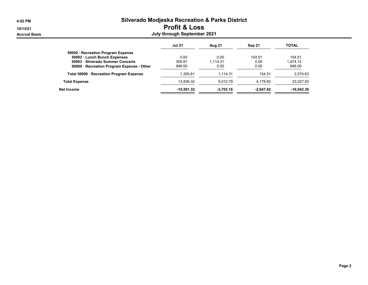| 4:02 PM              | <b>Silverado Modjeska Recreation &amp; Parks District</b> |                          |             |             |              |  |  |  |
|----------------------|-----------------------------------------------------------|--------------------------|-------------|-------------|--------------|--|--|--|
| 10/13/21             |                                                           | <b>Profit &amp; Loss</b> |             |             |              |  |  |  |
| <b>Accrual Basis</b> | July through September 2021                               |                          |             |             |              |  |  |  |
|                      |                                                           | <b>Jul 21</b>            | Aug 21      | Sep 21      | <b>TOTAL</b> |  |  |  |
|                      | 50000 · Recreation Program Expense                        |                          |             |             |              |  |  |  |
|                      | 50002 · Lunch Bunch Expenses                              | 0.00                     | 0.00        | 154.51      | 154.51       |  |  |  |
|                      | 50003 · Silverado Summer Concerts                         | 359.81                   | 1.114.31    | 0.00        | 1.474.12     |  |  |  |
|                      | 50000 · Recreation Program Expense - Other                | 946.00                   | 0.00        | 0.00        | 946.00       |  |  |  |
|                      | Total 50000 · Recreation Program Expense                  | 1,305.81                 | 1.114.31    | 154.51      | 2,574.63     |  |  |  |
|                      | <b>Total Expense</b>                                      | 13,836.32                | 5,012.79    | 4,178.82    | 23,027.93    |  |  |  |
|                      | Net Income                                                | $-10.591.32$             | $-3.703.16$ | $-2.647.82$ | $-16.942.30$ |  |  |  |

=

⋍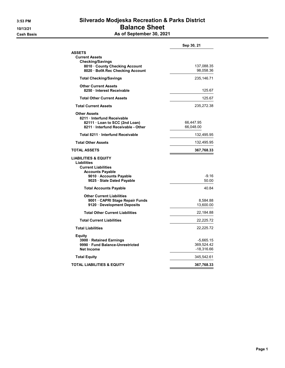# 3:53 PM Silverado Modjeska Recreation & Parks District 10/13/21 **Balance Sheet**

Cash Basis **As of September 30, 2021** 

|                                                                                                                                                     | Sep 30, 21                            |
|-----------------------------------------------------------------------------------------------------------------------------------------------------|---------------------------------------|
| <b>ASSETS</b>                                                                                                                                       |                                       |
| <b>Current Assets</b><br><b>Checking/Savings</b><br>8010 · County Checking Account<br>8020 · BofA Rec Checking Account                              | 137,088.35<br>98,058.36               |
| <b>Total Checking/Savings</b>                                                                                                                       | 235,146.71                            |
| <b>Other Current Assets</b><br>8250 · Interest Receivable                                                                                           | 125.67                                |
| <b>Total Other Current Assets</b>                                                                                                                   | 125.67                                |
| <b>Total Current Assets</b>                                                                                                                         | 235,272.38                            |
| <b>Other Assets</b><br>8211 Interfund Receivable<br>82111 · Loan to SCC (2nd Loan)<br>8211 Interfund Receivable - Other                             | 66,447.95<br>66,048.00                |
| Total 8211 · Interfund Receivable                                                                                                                   | 132,495.95                            |
| <b>Total Other Assets</b>                                                                                                                           | 132,495.95                            |
| <b>TOTAL ASSETS</b>                                                                                                                                 | 367,768.33                            |
| LIABILITIES & EQUITY<br>Liabilities<br><b>Current Liabilities</b><br><b>Accounts Payable</b><br>9010 Accounts Payable<br>9025 · Stale Dated Payable | $-9.16$<br>50.00                      |
| <b>Total Accounts Payable</b>                                                                                                                       | 40.84                                 |
| <b>Other Current Liabilities</b><br>9001 CAPRI Stage Repair Funds<br>9120 Development Deposits                                                      | 8,584.88<br>13,600.00                 |
| <b>Total Other Current Liabilities</b>                                                                                                              | 22,184.88                             |
| <b>Total Current Liabilities</b>                                                                                                                    | 22,225.72                             |
| <b>Total Liabilities</b>                                                                                                                            | 22,225.72                             |
| Equity<br>3900 · Retained Earnings<br>9990 Fund Balance-Unrestricted<br><b>Net Income</b>                                                           | -5,665.15<br>369,524.42<br>-18,316.66 |
| <b>Total Equity</b>                                                                                                                                 | 345,542.61                            |
| TOTAL LIABILITIES & EQUITY                                                                                                                          | 367,768.33                            |
|                                                                                                                                                     |                                       |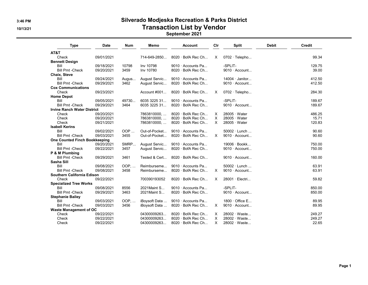## 3:46 PM Silverado Modjeska Recreation & Parks District 10/13/21 Transaction List by Vendor

#### September 2021

| <b>Type</b>                          | <b>Date</b> | Num   | Memo          | <b>Account</b>           | Cir      | <b>Split</b>          | <b>Debit</b> | <b>Credit</b> |
|--------------------------------------|-------------|-------|---------------|--------------------------|----------|-----------------------|--------------|---------------|
| AT&T                                 |             |       |               |                          |          |                       |              |               |
| Check                                | 09/01/2021  |       | 714-649-2850  | $8020 \cdot$ BofA Rec Ch | $\times$ | $0702 \cdot$ Telepho  |              | 99.34         |
| <b>Bennett Design</b>                |             |       |               |                          |          |                       |              |               |
| Bill                                 | 09/18/2021  | 10798 | Inv 10798     | 9010 · Accounts Pa       |          | -SPLIT-               |              | 129.75        |
| <b>Bill Pmt -Check</b>               | 09/20/2021  | 3459  | Inv 10780     | $8020 \cdot$ BofA Rec Ch |          | $9010 \cdot$ Account  |              | 39.00         |
| Chaix, Steve                         |             |       |               |                          |          |                       |              |               |
| Bill                                 | 09/24/2021  | Augus | August Servic | 9010 · Accounts Pa       |          | $14004 \cdot$ Janitor |              | 412.50        |
| <b>Bill Pmt -Check</b>               | 09/29/2021  | 3462  | August Servic | 8020 · BofA Rec Ch       |          | $9010 \cdot$ Account  |              | 412.50        |
| <b>Cox Communications</b>            |             |       |               |                          |          |                       |              |               |
| Check                                | 09/23/2021  |       | Account #001  | $8020 \cdot$ BofA Rec Ch | X.       | $0702 \cdot$ Telepho  |              | 284.30        |
| <b>Home Depot</b>                    |             |       |               |                          |          |                       |              |               |
| Bill                                 | 09/05/2021  | 49730 | 6035 3225 31  | 9010 Accounts Pa         |          | -SPLIT-               |              | 189.67        |
| <b>Bill Pmt -Check</b>               | 09/29/2021  | 3464  | 6035 3225 31  | 8020 · BofA Rec Ch       |          | 9010 · Account        |              | 189.67        |
| <b>Irvine Ranch Water District</b>   |             |       |               |                          |          |                       |              |               |
| Check                                | 09/20/2021  |       | 7863810000,   | $8020 \cdot$ BofA Rec Ch | X.       | $28005 \cdot Water$   |              | 486.25        |
| Check                                | 09/20/2021  |       | 7863810000,   | 8020 · BofA Rec Ch       | $\times$ | $28005 \cdot Water$   |              | 15.71         |
| Check                                | 09/21/2021  |       | 7863810000,   | 8020 · BofA Rec Ch       | X.       | $28005 \cdot Water$   |              | 120.83        |
| <b>Isabell Kerins</b>                |             |       |               |                          |          |                       |              |               |
| Bill                                 | 09/02/2021  | OOP   | Out-of-Pocket | 9010 · Accounts Pa       |          | 50002 · Lunch         |              | 90.60         |
| <b>Bill Pmt -Check</b>               | 09/03/2021  | 3455  | Out-of-Pocket | $8020 \cdot$ BofA Rec Ch | $\times$ | $9010 \cdot$ Account  |              | 90.60         |
| <b>One Counted Finch Bookkeeping</b> |             |       |               |                          |          |                       |              |               |
| Bill                                 | 09/20/2021  | SMRP  | August Servic | 9010 Accounts Pa         |          | 19006 · Bookk         |              | 750.00        |
| <b>Bill Pmt -Check</b>               | 09/22/2021  | 3457  | August Servic | 8020 · BofA Rec Ch       |          | $9010 \cdot$ Account  |              | 750.00        |
| P & M Plumbing                       |             |       |               |                          |          |                       |              |               |
| <b>Bill Pmt -Check</b>               | 09/29/2021  | 3461  | Tested & Cert | 8020 · BofA Rec Ch       |          | $9010 \cdot$ Account  |              | 160.00        |
| Sasha Sill                           |             |       |               |                          |          |                       |              |               |
| Bill                                 | 09/08/2021  | OOP,  | Reimburseme   | 9010 · Accounts Pa       |          | $50002 \cdot$ Lunch   |              | 63.91         |
| <b>Bill Pmt -Check</b>               | 09/08/2021  | 3458  | Reimburseme   | 8020 · BofA Rec Ch       | $\times$ | $9010 \cdot$ Account  |              | 63.91         |
| <b>Southern California Edison</b>    |             |       |               |                          |          |                       |              |               |
| Check                                | 09/22/2021  |       | 700390193052  | 8020 · BofA Rec Ch       | X        | 28001 · Electri       |              | 59.82         |
| <b>Specialized Tree Works</b>        |             |       |               |                          |          |                       |              |               |
| Bill                                 | 09/08/2021  | 8556  | 2021 Maint S  | 9010 · Accounts Pa       |          | -SPLIT-               |              | 850.00        |
| <b>Bill Pmt -Check</b>               | 09/29/2021  | 3463  | 2021 Maint S  | $8020 \cdot$ BofA Rec Ch |          | $9010 \cdot$ Account  |              | 850.00        |
| <b>Stephanie Bailey</b>              |             |       |               |                          |          |                       |              |               |
| Bill                                 | 09/03/2021  | OOP,  | iBoysoft Data | 9010 Accounts Pa         |          | $1800 \cdot$ Office E |              | 89.95         |
| <b>Bill Pmt -Check</b>               | 09/03/2021  | 3456  | iBoysoft Data | 8020 · BofA Rec Ch       | X        | 9010 · Account        |              | 89.95         |
| <b>Waste Management of OC</b>        |             |       |               |                          |          |                       |              |               |
| Check                                | 09/22/2021  |       | 04300009263   | $8020 \cdot$ BofA Rec Ch | $\times$ | 28002 · Waste         |              | 249.27        |
| Check                                | 09/22/2021  |       | 04300009263   | 8020 · BofA Rec Ch       | X        | 28002 · Waste         |              | 249.27        |
| Check                                | 09/22/2021  |       | 04300009263   | 8020 · BofA Rec Ch       | $\times$ | 28002 · Waste         |              | 22.65         |